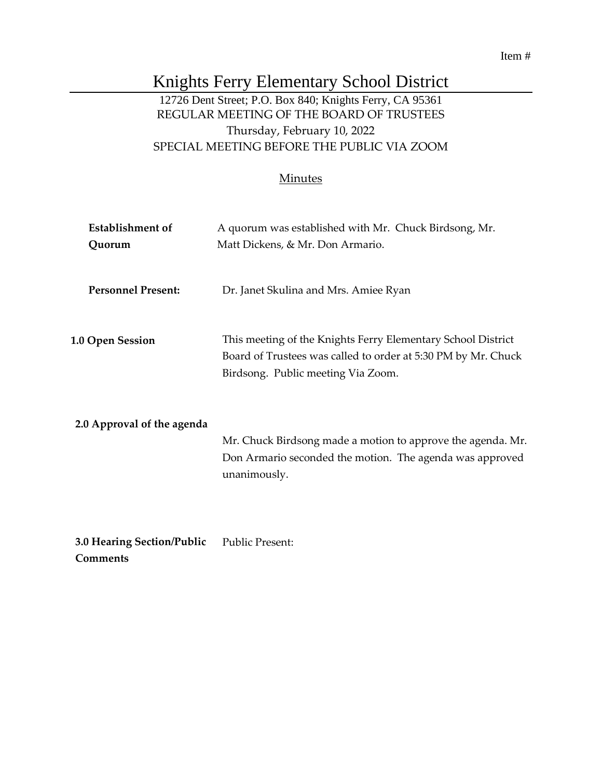#### Item #

# Knights Ferry Elementary School District

## 12726 Dent Street; P.O. Box 840; Knights Ferry, CA 95361 REGULAR MEETING OF THE BOARD OF TRUSTEES Thursday, February 10, 2022 SPECIAL MEETING BEFORE THE PUBLIC VIA ZOOM

#### **Minutes**

| <b>Establishment of</b>    | A quorum was established with Mr. Chuck Birdsong, Mr.                                                                                                               |
|----------------------------|---------------------------------------------------------------------------------------------------------------------------------------------------------------------|
| Quorum                     | Matt Dickens, & Mr. Don Armario.                                                                                                                                    |
| <b>Personnel Present:</b>  | Dr. Janet Skulina and Mrs. Amiee Ryan                                                                                                                               |
| <b>1.0 Open Session</b>    | This meeting of the Knights Ferry Elementary School District<br>Board of Trustees was called to order at 5:30 PM by Mr. Chuck<br>Birdsong. Public meeting Via Zoom. |
| 2.0 Approval of the agenda | Mr. Chuck Birdsong made a motion to approve the agenda. Mr.<br>Don Armario seconded the motion. The agenda was approved<br>unanimously.                             |
| 3.0 Hearing Section/Public | <b>Public Present:</b>                                                                                                                                              |

**Comments**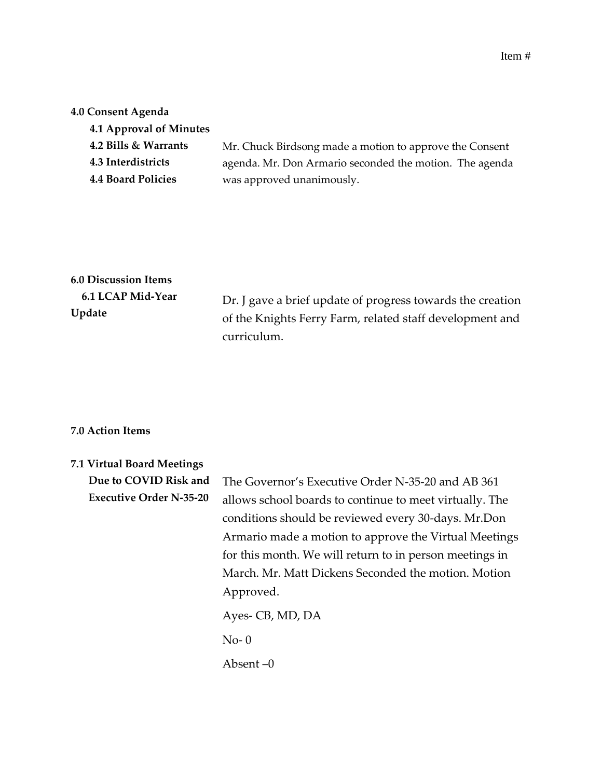#### **4.0 Consent Agenda**

| Mr. Chuck Birdsong made a motion to approve the Consent |
|---------------------------------------------------------|
| agenda. Mr. Don Armario seconded the motion. The agenda |
| was approved unanimously.                               |
|                                                         |

### **6.0 Discussion Items 6.1 LCAP Mid-Year**

**Update**

Dr. J gave a brief update of progress towards the creation of the Knights Ferry Farm, related staff development and curriculum.

#### **7.0 Action Items**

| 7.1 Virtual Board Meetings     |                                                         |
|--------------------------------|---------------------------------------------------------|
| Due to COVID Risk and          | The Governor's Executive Order N-35-20 and AB 361       |
| <b>Executive Order N-35-20</b> | allows school boards to continue to meet virtually. The |
|                                | conditions should be reviewed every 30-days. Mr.Don     |
|                                | Armario made a motion to approve the Virtual Meetings   |
|                                | for this month. We will return to in person meetings in |
|                                | March. Mr. Matt Dickens Seconded the motion. Motion     |
|                                | Approved.                                               |
|                                | Ayes-CB, MD, DA                                         |
|                                | $No-0$                                                  |
|                                | Absent –0                                               |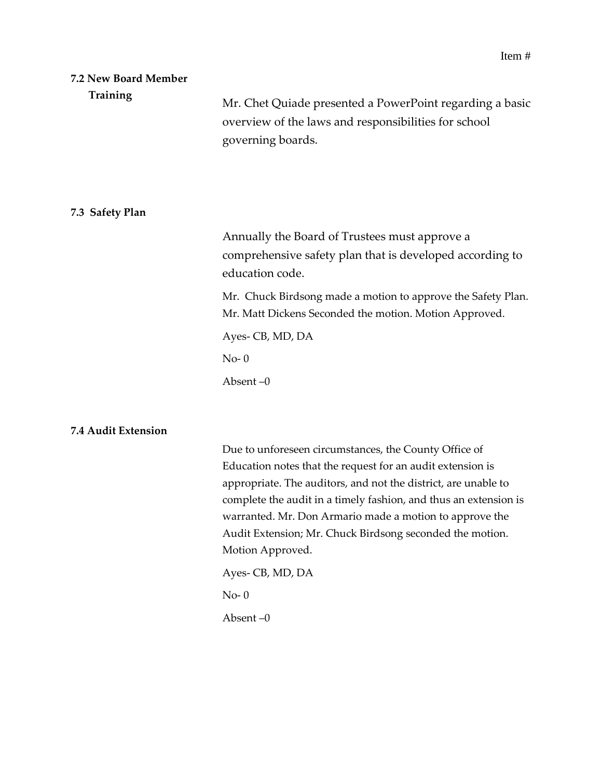#### **7.2 New Board Member Training**

Mr. Chet Quiade presented a PowerPoint regarding a basic overview of the laws and responsibilities for school governing boards.

#### **7.3 Safety Plan**

Annually the Board of Trustees must approve a comprehensive safety plan that is developed according to education code.

Mr. Chuck Birdsong made a motion to approve the Safety Plan. Mr. Matt Dickens Seconded the motion. Motion Approved.

Ayes- CB, MD, DA

No- 0

Absent –0

#### **7.4 Audit Extension**

Due to unforeseen circumstances, the County Office of Education notes that the request for an audit extension is appropriate. The auditors, and not the district, are unable to complete the audit in a timely fashion, and thus an extension is warranted. Mr. Don Armario made a motion to approve the Audit Extension; Mr. Chuck Birdsong seconded the motion. Motion Approved.

Ayes- CB, MD, DA

No- 0

Absent –0